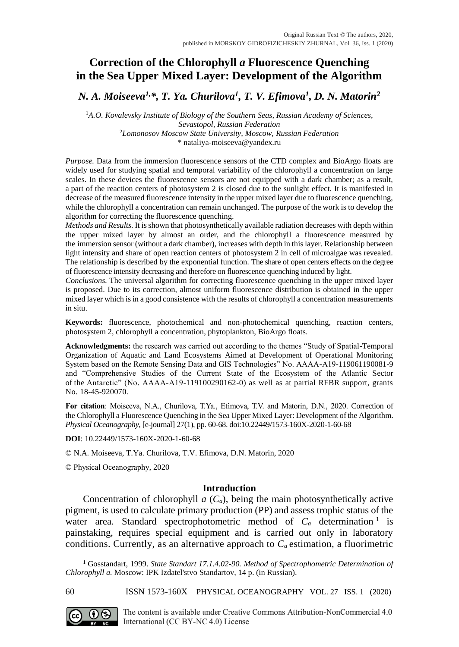# **Correction of the Chlorophyll** *a* **Fluorescence Quenching in the Sea Upper Mixed Layer: Development of the Algorithm**

*N. A. Moiseeva1,\*, T. Ya. Churilova<sup>1</sup> , T. V. Efimova<sup>1</sup> , D. N. Matorin<sup>2</sup>*

<sup>1</sup>*A.O. Kovalevsky Institute of Biology of the Southern Seas, Russian Academy of Sciences, Sevastopol, Russian Federation* <sup>2</sup>*Lomonosov Moscow State University, Moscow, Russian Federation*

[\\* nataliya-moiseeva@yandex.ru](mailto:nataliya-moiseeva@yandex.ru)

*Purpose.* Data from the immersion fluorescence sensors of the CTD complex and BioArgo floats are widely used for studying spatial and temporal variability of the chlorophyll a concentration on large scales. In these devices the fluorescence sensors are not equipped with a dark chamber; as a result, a part of the reaction centers of photosystem 2 is closed due to the sunlight effect. It is manifested in decrease of the measured fluorescence intensity in the upper mixed layer due to fluorescence quenching, while the chlorophyll a concentration can remain unchanged. The purpose of the work is to develop the algorithm for correcting the fluorescence quenching.

*Methods and Results.* It is shown that photosynthetically available radiation decreases with depth within the upper mixed layer by almost an order, and the chlorophyll a fluorescence measured by the immersion sensor (without a dark chamber), increases with depth in this layer. Relationship between light intensity and share of open reaction centers of photosystem 2 in cell of microalgae was revealed. The relationship is described by the exponential function. The share of open centers effects on the degree of fluorescence intensity decreasing and therefore on fluorescence quenching induced by light.

*Conclusions.* The universal algorithm for correcting fluorescence quenching in the upper mixed layer is proposed. Due to its correction, almost uniform fluorescence distribution is obtained in the upper mixed layer which is in a good consistence with the results of chlorophyll a concentration measurements in situ.

**Keywords:** fluorescence, photochemical and non-photochemical quenching, reaction centers, photosystem 2, chlorophyll a concentration, phytoplankton, BioArgo floats.

**Acknowledgments:** the research was carried out according to the themes "Study of Spatial-Temporal Organization of Aquatic and Land Ecosystems Aimed at Development of Operational Monitoring System based on the Remote Sensing Data and GIS Technologies" No. АААА-А19-119061190081-9 and "Comprehensive Studies of the Current State of the Ecosystem of the Atlantic Sector of the Antarctic" (No. АААА-А19-119100290162-0) as well as at partial RFBR support, grants No. 18-45-920070.

**For citation**: Moiseeva, N.A., Churilоva, T.Ya., Efimova, T.V. and Matorin, D.N., 2020. Correction of the Chlorophyll a Fluorescence Quenching in the Sea Upper Mixed Layer: Development of the Algorithm. *Physical Oceanography*, [e-journal] 27(1), pp. 60-68. doi:10.22449/1573-160X-2020-1-60-68

**DOI**: 10.22449/1573-160X-2020-1-60-68

© N.A. Moiseeva, T.Ya. Churilova, T.V. Efimova, D.N. Matorin, 2020

© Physical Oceanography, 2020

# **Introduction**

Concentration of chlorophyll *a* (*Ca*), being the main photosynthetically active pigment, is used to calculate primary production (PP) and assess trophic status of the water area. Standard spectrophotometric method of  $C_a$  determination<sup>1</sup> is painstaking, requires special equipment and is carried out only in laboratory conditions. Currently, as an alternative approach to *Ca* estimation, a fluorimetric

60 ISSN 1573-160X PHYSICAL OCEANOGRAPHY VOL. 27 ISS. 1 (2020)



<sup>1</sup> Gosstandart, 1999. *State Standart 17.1.4.02-90. Method of Spectrophometric Determination of Chlorophyll a.* Moscow: IPK Izdatel'stvo Standartov, 14 p. (in Russian).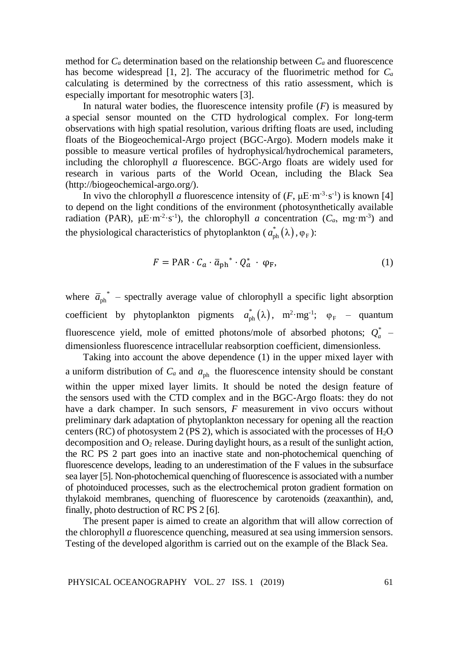method for  $C_a$  determination based on the relationship between  $C_a$  and fluorescence has become widespread [1, 2]. The accuracy of the fluorimetric method for *C<sup>a</sup>* calculating is determined by the correctness of this ratio assessment, which is especially important for mesotrophic waters [3].

In natural water bodies, the fluorescence intensity profile  $(F)$  is measured by a special sensor mounted on the CTD hydrological complex. For long-term observations with high spatial resolution, various drifting floats are used, including floats of the Biogeochemical-Argo project (BGC-Argo). Modern models make it possible to measure vertical profiles of hydrophysical/hydrochemical parameters, including the chlorophyll *a* fluorescence. BGC-Argo floats are widely used for research in various parts of the World Ocean, including the Black Sea (http://biogeochemical-argo.org/).

In vivo the chlorophyll *a* fluorescence intensity of  $(F, \mu E \cdot m^{-3} \cdot s^{-1})$  is known [4] to depend on the light conditions of the environment (photosynthetically available radiation (PAR),  $\mu E \cdot m^{-2} \cdot s^{-1}$ ), the chlorophyll *a* concentration ( $C_a$ , mg $\cdot m^{-3}$ ) and the physiological characteristics of phytoplankton ( $a_{ph}^*(\lambda), \varphi_F$ ):

$$
F = \text{PAR} \cdot C_a \cdot \bar{a}_{\text{ph}}^* \cdot Q_a^* \cdot \varphi_F,\tag{1}
$$

where  $\overline{a}_{ph}^*$  – spectrally average value of chlorophyll a specific light absorption coefficient by phytoplankton pigments  $a_{ph}^*(\lambda)$ ,  $m^2 \cdot mg^{-1}$ ;  $\varphi_F$  – quantum fluorescence yield, mole of emitted photons/mole of absorbed photons;  $Q_a^*$  – dimensionless fluorescence intracellular reabsorption coefficient, dimensionless*.*

Taking into account the above dependence (1) in the upper mixed layer with a uniform distribution of  $C_a$  and  $a_{ph}$  the fluorescence intensity should be constant within the upper mixed layer limits. It should be noted the design feature of the sensors used with the CTD complex and in the BGC-Argo floats: they do not have a dark champer. In such sensors, *F* measurement in vivo occurs without preliminary dark adaptation of phytoplankton necessary for opening all the reaction centers (RC) of photosystem 2 (PS 2), which is associated with the processes of  $H_2O$ decomposition and  $O_2$  release. During daylight hours, as a result of the sunlight action, the RC PS 2 part goes into an inactive state and non-photochemical quenching of fluorescence develops, leading to an underestimation of the F values in the subsurface sea layer [5]. Non-photochemical quenching of fluorescence is associated with a number of photoinduced processes, such as the electrochemical proton gradient formation on thylakoid membranes, quenching of fluorescence by carotenoids (zeaxanthin), and, finally, photo destruction of RC PS 2 [6].

The present paper is aimed to create an algorithm that will allow correction of the chlorophyll *a* fluorescence quenching, measured at sea using immersion sensors. Testing of the developed algorithm is carried out on the example of the Black Sea.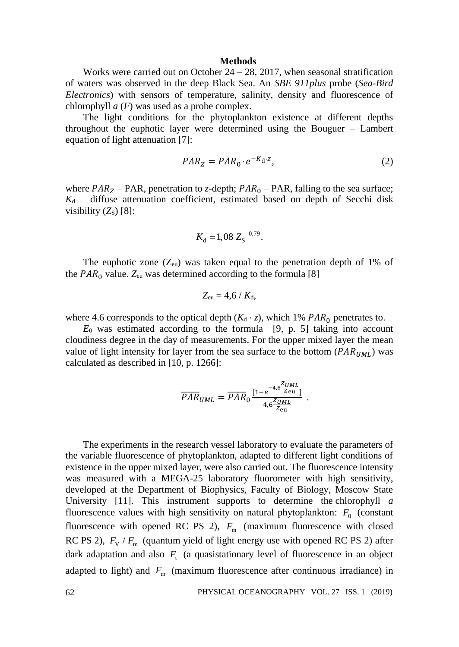#### **Methods**

Works were carried out on October  $24 - 28$ , 2017, when seasonal stratification of waters was observed in the deep Black Sea. An *SBE 911plus* probe (*Sea-Bird Electronics*) with sensors of temperature, salinity, density and fluorescence of chlorophyll *a* (*F*) was used as a probe complex.

The light conditions for the phytoplankton existence at different depths throughout the euphotic layer were determined using the Bouguer – Lambert equation of light attenuation [7]:

$$
PAR_Z = PAR_0 \cdot e^{-K_d \cdot z},\tag{2}
$$

where  $PAR<sub>Z</sub>$  – PAR, penetration to *z*-depth;  $PAR<sub>0</sub>$  – PAR, falling to the sea surface;  $K_d$  – diffuse attenuation coefficient, estimated based on depth of Secchi disk visibility  $(Z<sub>s</sub>)$  [8]:

$$
K_{\rm d} = 1,08 \; Z_{\rm S}^{-0.79}.
$$

The euphotic zone  $(Z_{eu})$  was taken equal to the penetration depth of 1% of the  $PAR_0$  value.  $Z_{eu}$  was determined according to the formula [8]

$$
Z_{\rm eu}=4,6 / K_{\rm d},
$$

where 4.6 corresponds to the optical depth  $(K_d \cdot z)$ , which 1%  $PAR_0$  penetrates to.

*E*<sup>0</sup> was estimated according to the formula [9, p. 5] taking into account cloudiness degree in the day of measurements. For the upper mixed layer the mean value of light intensity for layer from the sea surface to the bottom  $(PAR_{UML})$  was calculated as described in [10, p. 1266]:

$$
\overline{PAR}_{UML} = \overline{PAR}_0 \frac{[1 - e^{-4.6 \frac{Z_{UML}}{Z_{eu}}}]}{4.6 \frac{Z_{UML}}{Z_{eu}}}.
$$

The experiments in the research vessel laboratory to evaluate the parameters of the variable fluorescence of phytoplankton, adapted to different light conditions of existence in the upper mixed layer, were also carried out. The fluorescence intensity was measured with a MEGA-25 laboratory fluorometer with high sensitivity, developed at the Department of Biophysics, Faculty of Biology, Moscow State University [11]. This instrument supports to determine the chlorophyll *a* fluorescence values with high sensitivity on natural phytoplankton:  $F_0$  (constant fluorescence with opened RC PS 2),  $F_m$  (maximum fluorescence with closed RC PS 2),  $F_{\rm v}$  / $F_{\rm m}$  (quantum yield of light energy use with opened RC PS 2) after dark adaptation and also  $F<sub>t</sub>$  (a quasistationary level of fluorescence in an object adapted to light) and  $F_{m}$  (maximum fluorescence after continuous irradiance) in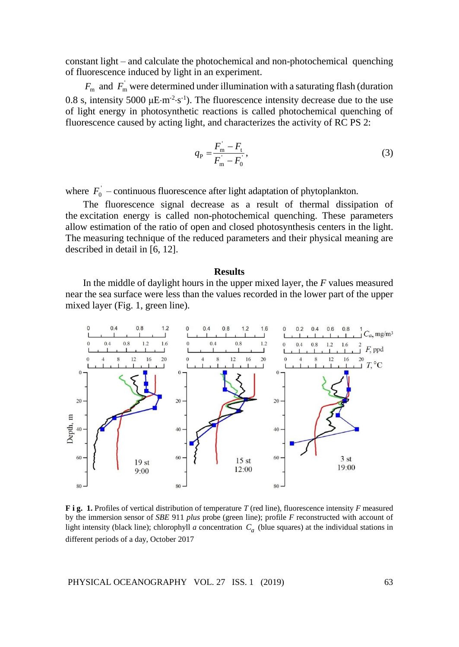constant light – and calculate the photochemical and non-photochemical quenching of fluorescence induced by light in an experiment.

 $F_{\text{m}}$  and  $F_{\text{m}}$  were determined under illumination with a saturating flash (duration 0.8 s, intensity 5000  $\mu$ E·m<sup>-2</sup>·s<sup>-1</sup>). The fluorescence intensity decrease due to the use of light energy in photosynthetic reactions is called photochemical quenching of fluorescence caused by acting light, and characterizes the activity of RC PS 2:

$$
q_{\rm p} = \frac{F_{\rm m}^{\rm'} - F_{\rm t}}{F_{\rm m}^{\rm'} - F_{\rm 0}^{\rm'}},\tag{3}
$$

where  $F_0$ <sup> $\,$ </sup> – continuous fluorescence after light adaptation of phytoplankton.

The fluorescence signal decrease as a result of thermal dissipation of the excitation energy is called non-photochemical quenching. These parameters allow estimation of the ratio of open and closed photosynthesis centers in the light. The measuring technique of the reduced parameters and their physical meaning are described in detail in [6, 12].

### **Results**

In the middle of daylight hours in the upper mixed layer, the *F* values measured near the sea surface were less than the values recorded in the lower part of the upper mixed layer (Fig. 1, green line).



**F i g. 1.** Profiles of vertical distribution of temperature *T* (red line), fluorescence intensity *F* measured by the immersion sensor of *SBE* 911 *plus* probe (green line); profile *F* reconstructed with account of light intensity (black line); chlorophyll *a* concentration *Ca* (blue squares) at the individual stations in different periods of a day, October 2017

PHYSICAL OCEANOGRAPHY VOL. 27 ISS. 1 (2019) 63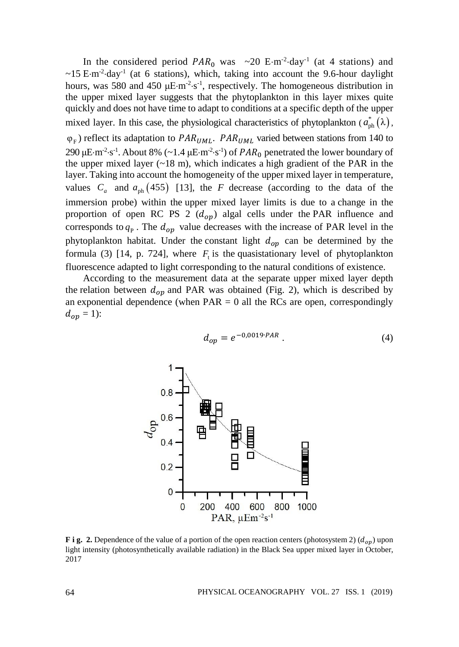In the considered period  $PAR_0$  was  $\sim 20$  E·m<sup>-2</sup>·day<sup>-1</sup> (at 4 stations) and  $\sim$ 15 E·m<sup>-2</sup>·day<sup>-1</sup> (at 6 stations), which, taking into account the 9.6-hour daylight hours, was 580 and 450  $\mu$ E·m<sup>-2</sup>·s<sup>-1</sup>, respectively. The homogeneous distribution in the upper mixed layer suggests that the phytoplankton in this layer mixes quite quickly and does not have time to adapt to conditions at a specific depth of the upper mixed layer. In this case, the physiological characteristics of phytoplankton  $(a_{ph}^*(\lambda))$ ,  $\varphi_F$ ) reflect its adaptation to *PAR<sub>UML</sub>*. *PAR<sub>UML</sub>* varied between stations from 140 to 290 μE·m<sup>-2</sup>·s<sup>-1</sup>. About 8% (~1.4 μE·m<sup>-2</sup>·s<sup>-1</sup>) of *PAR*<sub>0</sub> penetrated the lower boundary of the upper mixed layer  $(-18 \text{ m})$ , which indicates a high gradient of the PAR in the layer. Taking into account the homogeneity of the upper mixed layer in temperature, values  $C_a$  and  $a_{ph}$  (455) [13], the *F* decrease (according to the data of the immersion probe) within the upper mixed layer limits is due to a change in the proportion of open RC PS 2  $(d_{op})$  algal cells under the PAR influence and corresponds to  $q<sub>p</sub>$ . The  $d<sub>op</sub>$  value decreases with the increase of PAR level in the phytoplankton habitat. Under the constant light  $d_{op}$  can be determined by the formula (3) [14, p. 724], where  $F_t$  is the quasistationary level of phytoplankton fluorescence adapted to light corresponding to the natural conditions of existence.

According to the measurement data at the separate upper mixed layer depth the relation between  $d_{op}$  and PAR was obtained (Fig. 2), which is described by an exponential dependence (when  $PAR = 0$  all the RCs are open, correspondingly  $d_{op} = 1$ :

$$
d_{op} = e^{-0.0019 \cdot PAR} \tag{4}
$$



**F i g. 2.** Dependence of the value of a portion of the open reaction centers (photosystem 2)  $(d_{op})$  upon light intensity (photosynthetically available radiation) in the Black Sea upper mixed layer in October, 2017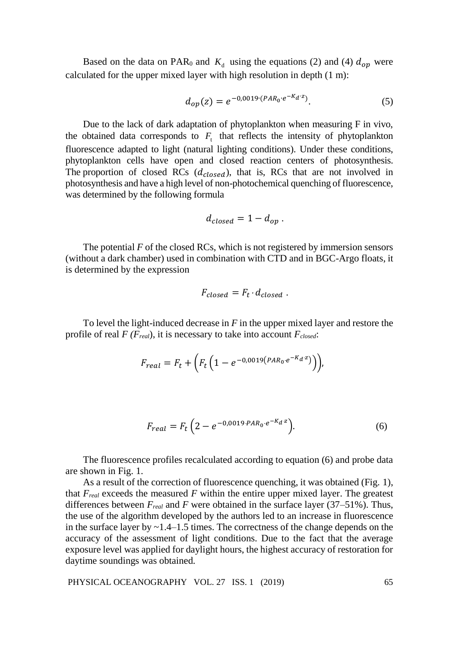Based on the data on PAR<sub>0</sub> and  $K_d$  using the equations (2) and (4)  $d_{op}$  were calculated for the upper mixed layer with high resolution in depth (1 m):

$$
d_{op}(z) = e^{-0.0019 \cdot (PAR_0 \cdot e^{-K_d z})}.
$$
 (5)

Due to the lack of dark adaptation of phytoplankton when measuring F in vivo, the obtained data corresponds to  $F_t$  that reflects the intensity of phytoplankton fluorescence adapted to light (natural lighting conditions). Under these conditions, phytoplankton cells have open and closed reaction centers of photosynthesis. The proportion of closed RCs  $(d_{closed})$ , that is, RCs that are not involved in photosynthesis and have a high level of non-photochemical quenching of fluorescence, was determined by the following formula

$$
d_{closed} = 1 - d_{op}.
$$

The potential *F* of the closed RCs, which is not registered by immersion sensors (without a dark chamber) used in combination with CTD and in BGC-Argo floats, it is determined by the expression

$$
F_{closed} = F_t \cdot d_{closed} .
$$

To level the light-induced decrease in *F* in the upper mixed layer and restore the profile of real *F (Freal*), it is necessary to take into account *Fclosed*:

$$
F_{real} = F_t + \left( F_t \left( 1 - e^{-0.0019 \left( P A R_0 \cdot e^{-K_d z} \right)} \right) \right),
$$

$$
F_{real} = F_t \left( 2 - e^{-0.0019 \cdot PAR_0 \cdot e^{-K_d x}} \right).
$$
 (6)

The fluorescence profiles recalculated according to equation (6) and probe data are shown in Fig. 1.

As a result of the correction of fluorescence quenching, it was obtained (Fig. 1), that  $F_{real}$  exceeds the measured  $F$  within the entire upper mixed layer. The greatest differences between  $F_{real}$  and  $F$  were obtained in the surface layer (37–51%). Thus, the use of the algorithm developed by the authors led to an increase in fluorescence in the surface layer by  $\sim$  1.4–1.5 times. The correctness of the change depends on the accuracy of the assessment of light conditions. Due to the fact that the average exposure level was applied for daylight hours, the highest accuracy of restoration for daytime soundings was obtained.

PHYSICAL OCEANOGRAPHY VOL. 27 ISS. 1 (2019) 65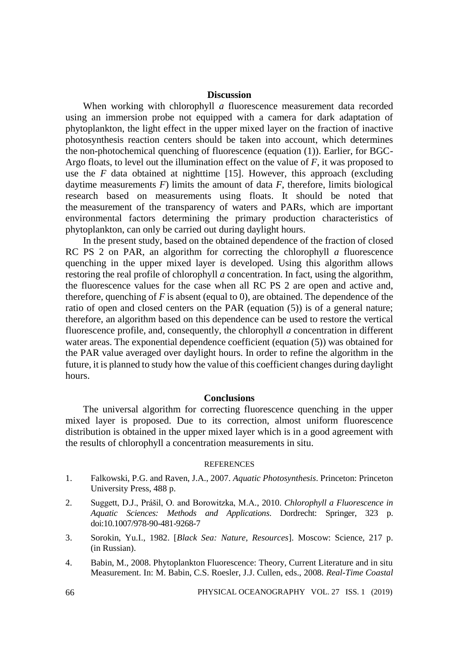# **Discussion**

When working with chlorophyll *a* fluorescence measurement data recorded using an immersion probe not equipped with a camera for dark adaptation of phytoplankton, the light effect in the upper mixed layer on the fraction of inactive photosynthesis reaction centers should be taken into account, which determines the non-photochemical quenching of fluorescence (equation (1)). Earlier, for BGC-Argo floats, to level out the illumination effect on the value of *F*, it was proposed to use the  $F$  data obtained at nighttime  $[15]$ . However, this approach (excluding daytime measurements *F*) limits the amount of data *F*, therefore, limits biological research based on measurements using floats. It should be noted that the measurement of the transparency of waters and PARs, which are important environmental factors determining the primary production characteristics of phytoplankton, can only be carried out during daylight hours.

In the present study, based on the obtained dependence of the fraction of closed RC PS 2 on PAR, an algorithm for correcting the chlorophyll *a* fluorescence quenching in the upper mixed layer is developed. Using this algorithm allows restoring the real profile of chlorophyll *a* concentration. In fact, using the algorithm, the fluorescence values for the case when all RC PS 2 are open and active and, therefore, quenching of *F* is absent (equal to 0), are obtained. The dependence of the ratio of open and closed centers on the PAR (equation (5)) is of a general nature; therefore, an algorithm based on this dependence can be used to restore the vertical fluorescence profile, and, consequently, the chlorophyll *a* concentration in different water areas. The exponential dependence coefficient (equation (5)) was obtained for the PAR value averaged over daylight hours. In order to refine the algorithm in the future, it is planned to study how the value of this coefficient changes during daylight hours.

# **Conclusions**

The universal algorithm for correcting fluorescence quenching in the upper mixed layer is proposed. Due to its correction, almost uniform fluorescence distribution is obtained in the upper mixed layer which is in a good agreement with the results of chlorophyll a concentration measurements in situ.

### **REFERENCES**

- 1. Falkowski, P.G. and Raven, J.A., 2007. *Aquatic Photosynthesis*. Princeton: Princeton University Press, 488 p.
- 2. Suggett, D.J., Prášil, O. and Borowitzka, M.A*.*, 2010. *Chlorophyll a Fluorescence in Aquatic Sciences: Methods and Applications*. Dordrecht: Springer, 323 p. doi:10.1007/978-90-481-9268-7
- 3. Sorokin, Yu.I., 1982. [*Black Sea: Nature, Resources*]. Moscow: Science, 217 p. (in Russian).
- 4. Babin, M., 2008. Phytoplankton Fluorescence: Theory, Current Literature and in situ Measurement. In: M. Babin, C.S. Roesler, J.J. Cullen, eds., 2008. *Real-Time Coastal*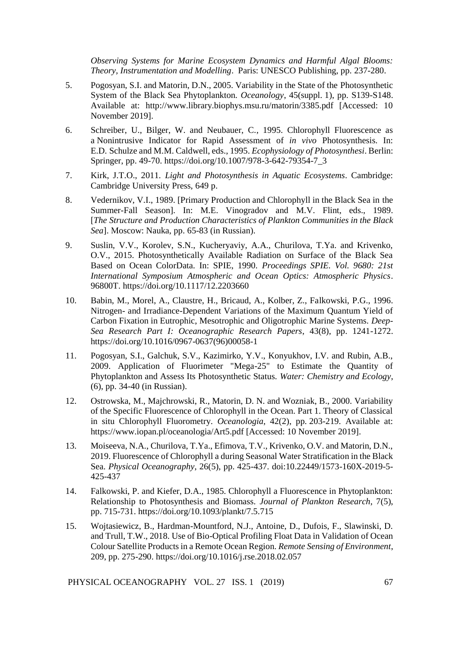*Observing Systems for Marine Ecosystem Dynamics and Harmful Algal Blooms: Theory, Instrumentation and Modelling*. Paris: UNESCO Publishing, pp. 237-280.

- 5. Pogosyan, S.I. and Matorin, D.N., 2005. Variability in the State of the Photosynthetic System of the Black Sea Phytoplankton. *Oceanology*, 45(suppl. 1), pp. S139-S148. Available at: http://www.library.biophys.msu.ru/matorin/3385.pdf [Accessed: 10 November 2019].
- 6. Schreiber, U., Bilger, W. and Neubauer, C*.*, 1995. Chlorophyll Fluorescence as a Nonintrusive Indicator for Rapid Assessment of *in vivo* Photosynthesis. In: E.D. Schulze and M.M. Caldwell, eds., 1995. *Ecophysiology of Photosynthesi*. Berlin: Springer, pp. 49-70. https://doi.org/10.1007/978-3-642-79354-7\_3
- 7. Kirk, J.T.O., 2011*. Light and Photosynthesis in Aquatic Ecosystems*. Cambridge: Cambridge University Press, 649 p.
- 8. Vedernikov, V.I., 1989. [Primary Production and Chlorophyll in the Black Sea in the Summer-Fall Season]. In: M.E. Vinogradov and M.V. Flint, eds., 1989. [*The Structure and Production Characteristics of Plankton Communities in the Black Sea*]. Мoscow: Nauka, pp. 65-83 (in Russian).
- 9. Suslin, V.V., Korolev, S.N., Kucheryaviy, A.A., Churilova, T.Ya. and Krivenko, O.V., 2015. Photosynthetically Available Radiation on Surface of the Black Sea Based on Ocean ColorData. In: SPIE, 1990. *Proceedings SPIE. Vol. 9680: 21st International Symposium Atmospheric and Ocean Optics: Atmospheric Physics*. 96800T. https://doi.org/10.1117/12.2203660
- 10. Babin, M., Morel, A., Claustre, H., Bricaud, A., Kolber, Z., Falkowski, P.G., 1996. Nitrogen- and Irradiance-Dependent Variations of the Maximum Quantum Yield of Carbon Fixation in Eutrophic, Mesotrophic and Oligotrophic Marine Systems. *Deep-Sea Research Part I: Oceanographic Research Papers*, 43(8), pp. 1241-1272. https://doi.org/10.1016/0967-0637(96)00058-1
- 11. Pogosyan, S.I., Galchuk, S.V., Kazimirko, Y.V., Konyukhov, I.V. and Rubin, A.B., 2009. Application of Fluorimeter "Mega-25" to Estimate the Quantity of Phytoplankton and Assess Its Photosynthetic Status. *Water: Chemistry and Ecology*, (6), pp. 34-40 (in Russian).
- 12. Ostrowska, M., Majchrowski, R., Matorin, D. N. and Wozniak, B., 2000. Variability of the Specific Fluorescence of Chlorophyll in the Ocean. Part 1. Theory of Classical in situ Chlorophyll Fluorometry. *Oceanologia*, 42(2), pp. 203-219. Available at: https://www.iopan.pl/oceanologia/Art5.pdf [Accessed: 10 November 2019].
- 13. Moiseeva, N.A., Churilova, T.Ya., Efimova, T.V., Krivenko, O.V. and Matorin, D.N., 2019. Fluorescence of Chlorophyll a during Seasonal Water Stratification in the Black Sea. *Physical Oceanography*, 26(5), pp. 425-437. doi:10.22449/1573-160X-2019-5- 425-437
- 14. Falkowski, P. and Kiefer, D.A., 1985. Chlorophyll a Fluorescence in Phytoplankton: Relationship to Photosynthesis and Biomass. *Journal of Plankton Research*, 7(5), pp. 715-731.<https://doi.org/10.1093/plankt/7.5.715>
- 15. Wojtasiewicz, B., Hardman-Mountford, N.J., Antoine, D., Dufois, F., Slawinski, D. and Trull, T.W., 2018. Use of Bio-Optical Profiling Float Data in Validation of Ocean Colour Satellite Products in a Remote Ocean Region. *Remote Sensing of Environment*, 209, pp. 275-290. https://doi.org/10.1016/j.rse.2018.02.057

PHYSICAL OCEANOGRAPHY VOL. 27 ISS. 1 (2019) 67